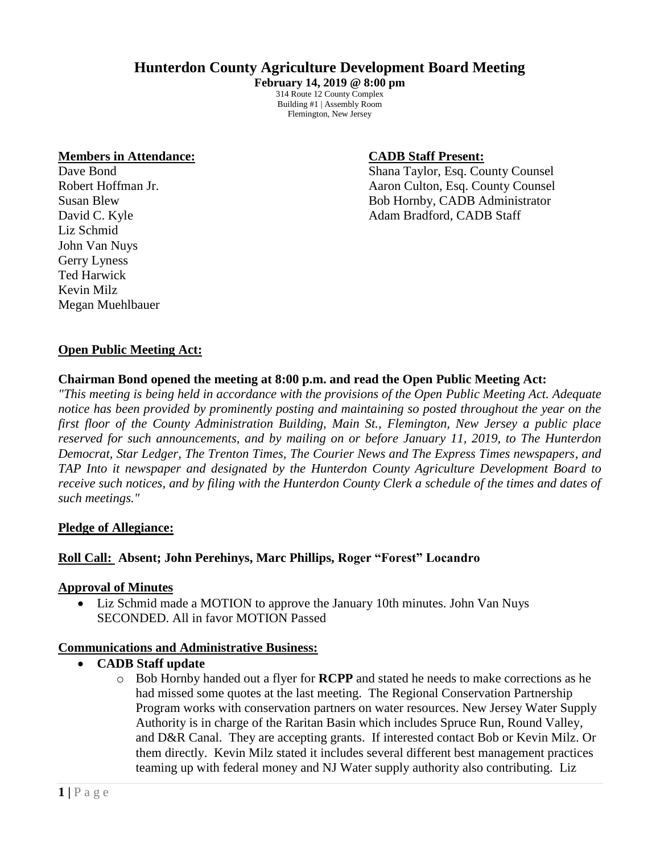# **Hunterdon County Agriculture Development Board Meeting**

**February 14, 2019 @ 8:00 pm** 314 Route 12 County Complex Building #1 | Assembly Room Flemington, New Jersey

#### **Members in Attendance: CADB Staff Present:**

Liz Schmid John Van Nuys Gerry Lyness Ted Harwick Kevin Milz Megan Muehlbauer

Dave Bond Shana Taylor, Esq. County Counsel Robert Hoffman Jr. **All 2018** Aaron Culton, Esq. County Counsel Susan Blew Bob Hornby, CADB Administrator David C. Kyle **Adam Bradford, CADB Staff** 

#### **Open Public Meeting Act:**

#### **Chairman Bond opened the meeting at 8:00 p.m. and read the Open Public Meeting Act:**

*"This meeting is being held in accordance with the provisions of the Open Public Meeting Act. Adequate notice has been provided by prominently posting and maintaining so posted throughout the year on the first floor of the County Administration Building, Main St., Flemington, New Jersey a public place reserved for such announcements, and by mailing on or before January 11, 2019, to The Hunterdon Democrat, Star Ledger, The Trenton Times, The Courier News and The Express Times newspapers, and TAP Into it newspaper and designated by the Hunterdon County Agriculture Development Board to receive such notices, and by filing with the Hunterdon County Clerk a schedule of the times and dates of such meetings."*

#### **Pledge of Allegiance:**

#### **Roll Call: Absent; John Perehinys, Marc Phillips, Roger "Forest" Locandro**

#### **Approval of Minutes**

• Liz Schmid made a MOTION to approve the January 10th minutes. John Van Nuys SECONDED. All in favor MOTION Passed

#### **Communications and Administrative Business:**

- **CADB Staff update**
	- o Bob Hornby handed out a flyer for **RCPP** and stated he needs to make corrections as he had missed some quotes at the last meeting. The Regional Conservation Partnership Program works with conservation partners on water resources. New Jersey Water Supply Authority is in charge of the Raritan Basin which includes Spruce Run, Round Valley, and D&R Canal. They are accepting grants. If interested contact Bob or Kevin Milz. Or them directly. Kevin Milz stated it includes several different best management practices teaming up with federal money and NJ Water supply authority also contributing. Liz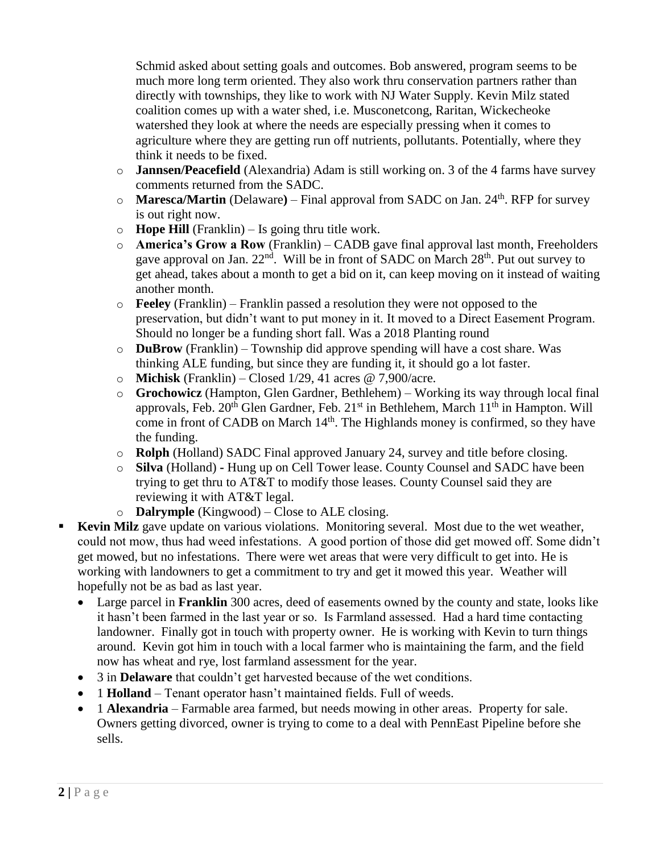Schmid asked about setting goals and outcomes. Bob answered, program seems to be much more long term oriented. They also work thru conservation partners rather than directly with townships, they like to work with NJ Water Supply. Kevin Milz stated coalition comes up with a water shed, i.e. Musconetcong, Raritan, Wickecheoke watershed they look at where the needs are especially pressing when it comes to agriculture where they are getting run off nutrients, pollutants. Potentially, where they think it needs to be fixed.

- o **Jannsen/Peacefield** (Alexandria) Adam is still working on. 3 of the 4 farms have survey comments returned from the SADC.
- o **Maresca/Martin** (Delaware**)** Final approval from SADC on Jan. 24th. RFP for survey is out right now.
- o **Hope Hill** (Franklin) Is going thru title work.
- o **America's Grow a Row** (Franklin) CADB gave final approval last month, Freeholders gave approval on Jan.  $22<sup>nd</sup>$ . Will be in front of SADC on March  $28<sup>th</sup>$ . Put out survey to get ahead, takes about a month to get a bid on it, can keep moving on it instead of waiting another month.
- o **Feeley** (Franklin) Franklin passed a resolution they were not opposed to the preservation, but didn't want to put money in it. It moved to a Direct Easement Program. Should no longer be a funding short fall. Was a 2018 Planting round
- o **DuBrow** (Franklin) Township did approve spending will have a cost share. Was thinking ALE funding, but since they are funding it, it should go a lot faster.
- o **Michisk** (Franklin) Closed 1/29, 41 acres @ 7,900/acre.
- o **Grochowicz** (Hampton, Glen Gardner, Bethlehem) Working its way through local final approvals, Feb.  $20^{th}$  Glen Gardner, Feb.  $21^{st}$  in Bethlehem, March  $11^{th}$  in Hampton. Will come in front of CADB on March  $14<sup>th</sup>$ . The Highlands money is confirmed, so they have the funding.
- o **Rolph** (Holland) SADC Final approved January 24, survey and title before closing.
- o **Silva** (Holland) **-** Hung up on Cell Tower lease. County Counsel and SADC have been trying to get thru to AT&T to modify those leases. County Counsel said they are reviewing it with AT&T legal.
- o **Dalrymple** (Kingwood) Close to ALE closing.
- **Kevin Milz** gave update on various violations. Monitoring several. Most due to the wet weather, could not mow, thus had weed infestations. A good portion of those did get mowed off. Some didn't get mowed, but no infestations. There were wet areas that were very difficult to get into. He is working with landowners to get a commitment to try and get it mowed this year. Weather will hopefully not be as bad as last year.
	- Large parcel in **Franklin** 300 acres, deed of easements owned by the county and state, looks like it hasn't been farmed in the last year or so. Is Farmland assessed. Had a hard time contacting landowner. Finally got in touch with property owner. He is working with Kevin to turn things around. Kevin got him in touch with a local farmer who is maintaining the farm, and the field now has wheat and rye, lost farmland assessment for the year.
	- 3 in **Delaware** that couldn't get harvested because of the wet conditions.
	- 1 **Holland** Tenant operator hasn't maintained fields. Full of weeds.
	- 1 **Alexandria** Farmable area farmed, but needs mowing in other areas. Property for sale. Owners getting divorced, owner is trying to come to a deal with PennEast Pipeline before she sells.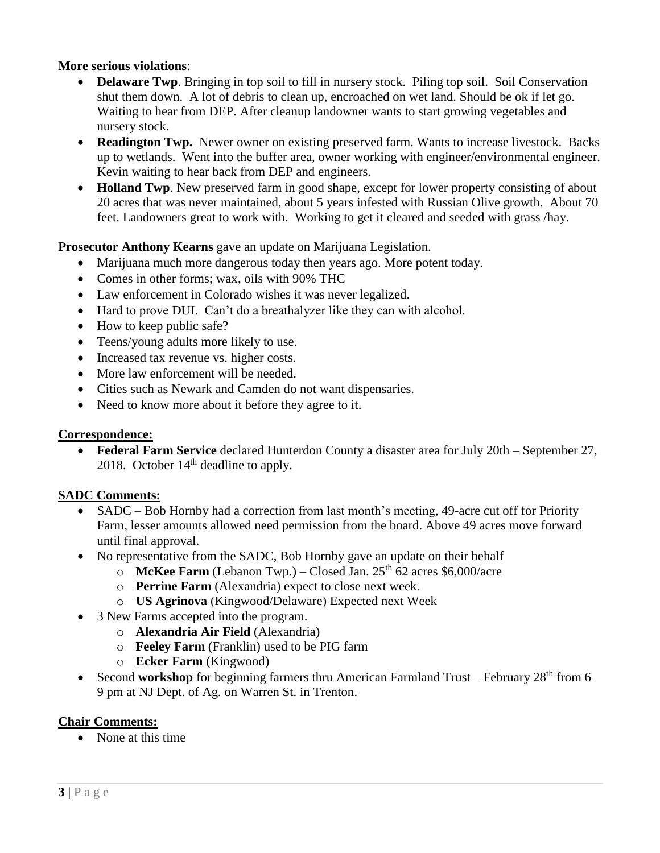#### **More serious violations**:

- **Delaware Twp**. Bringing in top soil to fill in nursery stock. Piling top soil. Soil Conservation shut them down. A lot of debris to clean up, encroached on wet land. Should be ok if let go. Waiting to hear from DEP. After cleanup landowner wants to start growing vegetables and nursery stock.
- **Readington Twp.** Newer owner on existing preserved farm. Wants to increase livestock. Backs up to wetlands. Went into the buffer area, owner working with engineer/environmental engineer. Kevin waiting to hear back from DEP and engineers.
- **Holland Twp**. New preserved farm in good shape, except for lower property consisting of about 20 acres that was never maintained, about 5 years infested with Russian Olive growth. About 70 feet. Landowners great to work with. Working to get it cleared and seeded with grass /hay.

## **Prosecutor Anthony Kearns** gave an update on Marijuana Legislation.

- Marijuana much more dangerous today then years ago. More potent today.
- Comes in other forms: wax, oils with 90% THC
- Law enforcement in Colorado wishes it was never legalized.
- Hard to prove DUI. Can't do a breathalyzer like they can with alcohol.
- How to keep public safe?
- Teens/young adults more likely to use.
- Increased tax revenue vs. higher costs.
- More law enforcement will be needed.
- Cities such as Newark and Camden do not want dispensaries.
- Need to know more about it before they agree to it.

## **Correspondence:**

• **Federal Farm Service** declared Hunterdon County a disaster area for July 20th – September 27, 2018. October  $14<sup>th</sup>$  deadline to apply.

## **SADC Comments:**

- SADC Bob Hornby had a correction from last month's meeting, 49-acre cut off for Priority Farm, lesser amounts allowed need permission from the board. Above 49 acres move forward until final approval.
- No representative from the SADC, Bob Hornby gave an update on their behalf
	- $\circ$  **McKee Farm** (Lebanon Twp.) Closed Jan. 25<sup>th</sup> 62 acres \$6,000/acre
	- o **Perrine Farm** (Alexandria) expect to close next week.
	- o **US Agrinova** (Kingwood/Delaware) Expected next Week
- 3 New Farms accepted into the program.
	- o **Alexandria Air Field** (Alexandria)
	- o **Feeley Farm** (Franklin) used to be PIG farm
	- o **Ecker Farm** (Kingwood)
- Second **workshop** for beginning farmers thru American Farmland Trust February 28<sup>th</sup> from 6 9 pm at NJ Dept. of Ag. on Warren St. in Trenton.

## **Chair Comments:**

• None at this time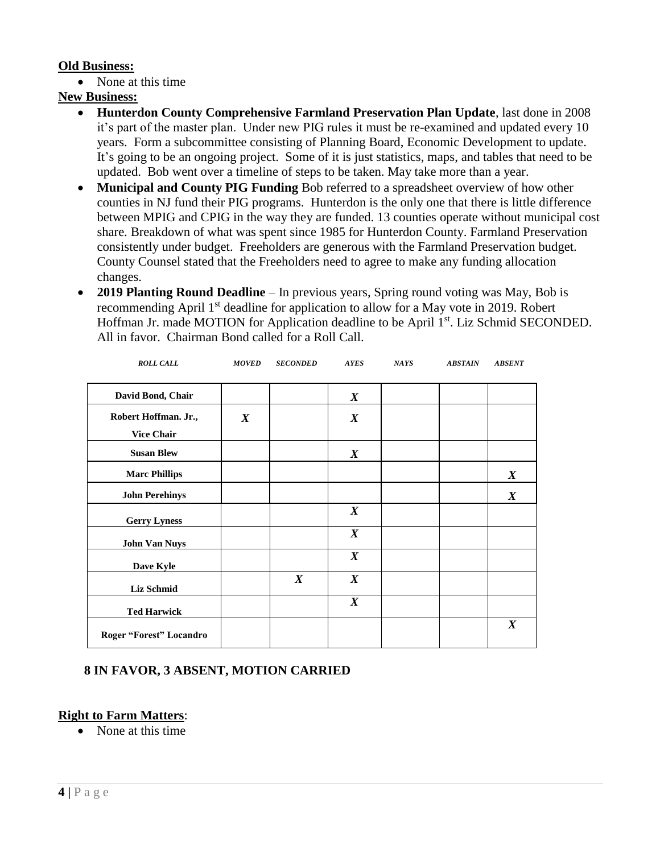## **Old Business:**

• None at this time

## **New Business:**

- **Hunterdon County Comprehensive Farmland Preservation Plan Update**, last done in 2008 it's part of the master plan. Under new PIG rules it must be re-examined and updated every 10 years. Form a subcommittee consisting of Planning Board, Economic Development to update. It's going to be an ongoing project. Some of it is just statistics, maps, and tables that need to be updated. Bob went over a timeline of steps to be taken. May take more than a year.
- **Municipal and County PIG Funding** Bob referred to a spreadsheet overview of how other counties in NJ fund their PIG programs. Hunterdon is the only one that there is little difference between MPIG and CPIG in the way they are funded. 13 counties operate without municipal cost share. Breakdown of what was spent since 1985 for Hunterdon County. Farmland Preservation consistently under budget. Freeholders are generous with the Farmland Preservation budget. County Counsel stated that the Freeholders need to agree to make any funding allocation changes.
- **2019 Planting Round Deadline** In previous years, Spring round voting was May, Bob is recommending April 1st deadline for application to allow for a May vote in 2019. Robert Hoffman Jr. made MOTION for Application deadline to be April 1<sup>st</sup>. Liz Schmid SECONDED. All in favor. Chairman Bond called for a Roll Call.

| David Bond, Chair       |                  |                  | $\boldsymbol{X}$ |  |                  |
|-------------------------|------------------|------------------|------------------|--|------------------|
| Robert Hoffman. Jr.,    | $\boldsymbol{X}$ |                  | $\boldsymbol{X}$ |  |                  |
| <b>Vice Chair</b>       |                  |                  |                  |  |                  |
| <b>Susan Blew</b>       |                  |                  | $\boldsymbol{X}$ |  |                  |
| <b>Marc Phillips</b>    |                  |                  |                  |  | $\boldsymbol{X}$ |
| <b>John Perehinys</b>   |                  |                  |                  |  | $\boldsymbol{X}$ |
| <b>Gerry Lyness</b>     |                  |                  | $\boldsymbol{X}$ |  |                  |
| <b>John Van Nuys</b>    |                  |                  | $\boldsymbol{X}$ |  |                  |
| Dave Kyle               |                  |                  | $\boldsymbol{X}$ |  |                  |
| <b>Liz Schmid</b>       |                  | $\boldsymbol{X}$ | $\boldsymbol{X}$ |  |                  |
| <b>Ted Harwick</b>      |                  |                  | $\boldsymbol{X}$ |  |                  |
| Roger "Forest" Locandro |                  |                  |                  |  | $\boldsymbol{X}$ |

 *ROLL CALL MOVED SECONDED AYES NAYS ABSTAIN ABSENT*

# **8 IN FAVOR, 3 ABSENT, MOTION CARRIED**

## **Right to Farm Matters**:

• None at this time